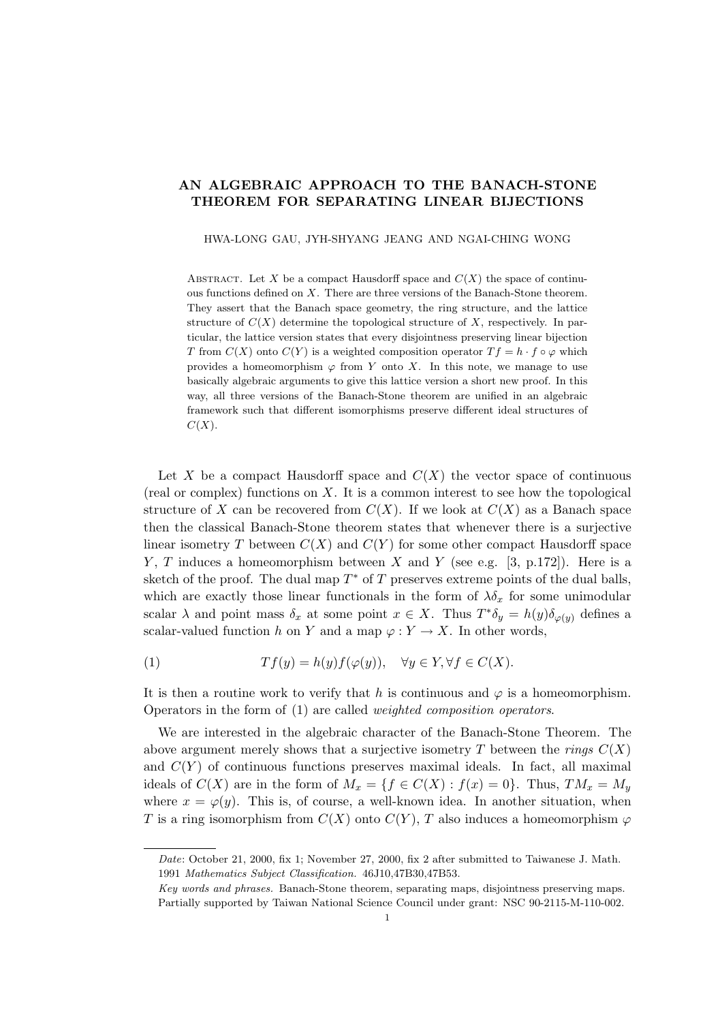## AN ALGEBRAIC APPROACH TO THE BANACH-STONE THEOREM FOR SEPARATING LINEAR BIJECTIONS

HWA-LONG GAU, JYH-SHYANG JEANG AND NGAI-CHING WONG

ABSTRACT. Let X be a compact Hausdorff space and  $C(X)$  the space of continuous functions defined on  $X$ . There are three versions of the Banach-Stone theorem. They assert that the Banach space geometry, the ring structure, and the lattice structure of  $C(X)$  determine the topological structure of X, respectively. In particular, the lattice version states that every disjointness preserving linear bijection T from  $C(X)$  onto  $C(Y)$  is a weighted composition operator  $Tf = h \cdot f \circ \varphi$  which provides a homeomorphism  $\varphi$  from Y onto X. In this note, we manage to use basically algebraic arguments to give this lattice version a short new proof. In this way, all three versions of the Banach-Stone theorem are unified in an algebraic framework such that different isomorphisms preserve different ideal structures of  $C(X).$ 

Let X be a compact Hausdorff space and  $C(X)$  the vector space of continuous (real or complex) functions on  $X$ . It is a common interest to see how the topological structure of X can be recovered from  $C(X)$ . If we look at  $C(X)$  as a Banach space then the classical Banach-Stone theorem states that whenever there is a surjective linear isometry T between  $C(X)$  and  $C(Y)$  for some other compact Hausdorff space Y, T induces a homeomorphism between X and Y (see e.g. [3, p.172]). Here is a sketch of the proof. The dual map  $T^*$  of T preserves extreme points of the dual balls, which are exactly those linear functionals in the form of  $\lambda \delta_x$  for some unimodular scalar  $\lambda$  and point mass  $\delta_x$  at some point  $x \in X$ . Thus  $T^*\delta_y = h(y)\delta_{\varphi(y)}$  defines a scalar-valued function h on Y and a map  $\varphi: Y \to X$ . In other words,

(1) 
$$
Tf(y) = h(y)f(\varphi(y)), \quad \forall y \in Y, \forall f \in C(X).
$$

It is then a routine work to verify that h is continuous and  $\varphi$  is a homeomorphism. Operators in the form of (1) are called weighted composition operators.

We are interested in the algebraic character of the Banach-Stone Theorem. The above argument merely shows that a surjective isometry T between the rings  $C(X)$ and  $C(Y)$  of continuous functions preserves maximal ideals. In fact, all maximal ideals of  $C(X)$  are in the form of  $M_x = \{f \in C(X) : f(x) = 0\}$ . Thus,  $TM_x = M_y$ where  $x = \varphi(y)$ . This is, of course, a well-known idea. In another situation, when T is a ring isomorphism from  $C(X)$  onto  $C(Y)$ , T also induces a homeomorphism  $\varphi$ 

Date: October 21, 2000, fix 1; November 27, 2000, fix 2 after submitted to Taiwanese J. Math. 1991 Mathematics Subject Classification. 46J10,47B30,47B53.

Key words and phrases. Banach-Stone theorem, separating maps, disjointness preserving maps. Partially supported by Taiwan National Science Council under grant: NSC 90-2115-M-110-002.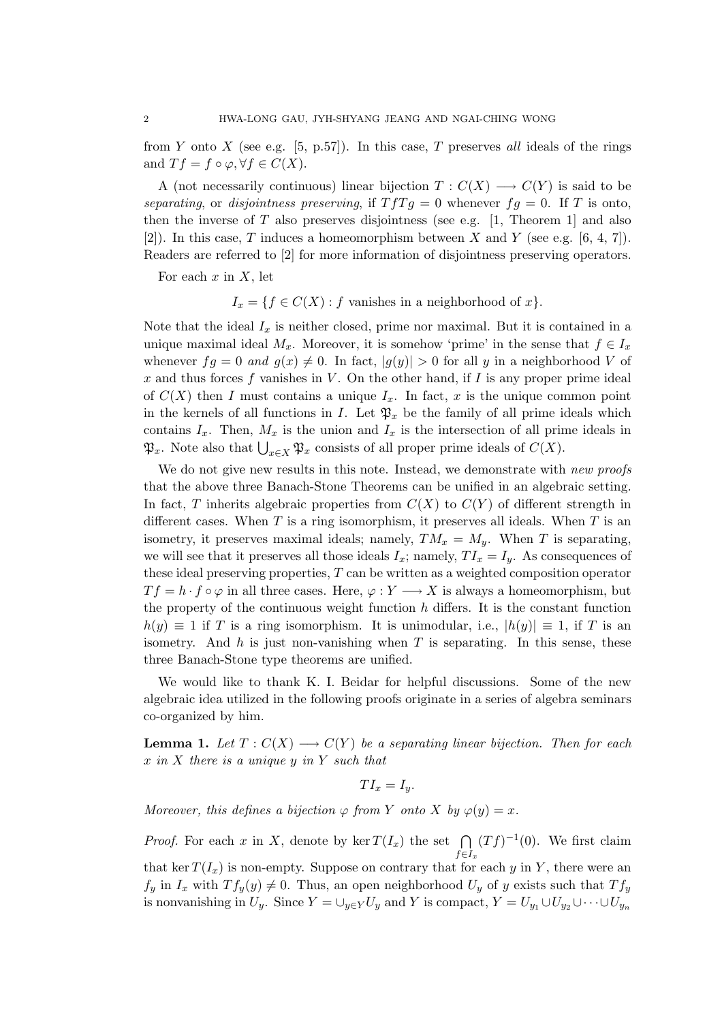from Y onto X (see e.g.  $[5, p.57]$ ). In this case, T preserves all ideals of the rings and  $Tf = f \circ \varphi, \forall f \in C(X)$ .

A (not necessarily continuous) linear bijection  $T: C(X) \longrightarrow C(Y)$  is said to be separating, or disjointness preserving, if  $TfTg = 0$  whenever  $fg = 0$ . If T is onto, then the inverse of  $T$  also preserves disjointness (see e.g. [1, Theorem 1] and also [2]). In this case, T induces a homeomorphism between X and Y (see e.g.  $[6, 4, 7]$ ). Readers are referred to [2] for more information of disjointness preserving operators.

For each  $x$  in  $X$ , let

 $I_x = \{f \in C(X) : f \text{ vanishes in a neighborhood of } x\}.$ 

Note that the ideal  $I_x$  is neither closed, prime nor maximal. But it is contained in a unique maximal ideal  $M_x$ . Moreover, it is somehow 'prime' in the sense that  $f \in I_x$ whenever  $fg = 0$  and  $g(x) \neq 0$ . In fact,  $|g(y)| > 0$  for all y in a neighborhood V of x and thus forces f vanishes in  $V$ . On the other hand, if I is any proper prime ideal of  $C(X)$  then I must contains a unique  $I_x$ . In fact, x is the unique common point in the kernels of all functions in I. Let  $\mathfrak{P}_x$  be the family of all prime ideals which contains  $I_x$ . Then,  $M_x$  is the union and  $I_x$  is the intersection of all prime ideals in  $\mathfrak{P}_x$ . Note also that  $\bigcup_{x \in X} \mathfrak{P}_x$  consists of all proper prime ideals of  $C(X)$ .

We do not give new results in this note. Instead, we demonstrate with new proofs that the above three Banach-Stone Theorems can be unified in an algebraic setting. In fact, T inherits algebraic properties from  $C(X)$  to  $C(Y)$  of different strength in different cases. When  $T$  is a ring isomorphism, it preserves all ideals. When  $T$  is an isometry, it preserves maximal ideals; namely,  $TM_x = M_y$ . When T is separating, we will see that it preserves all those ideals  $I_x$ ; namely,  $TI_x = I_y$ . As consequences of these ideal preserving properties, T can be written as a weighted composition operator  $T f = h \cdot f \circ \varphi$  in all three cases. Here,  $\varphi : Y \longrightarrow X$  is always a homeomorphism, but the property of the continuous weight function  $h$  differs. It is the constant function  $h(y) \equiv 1$  if T is a ring isomorphism. It is unimodular, i.e.,  $|h(y)| \equiv 1$ , if T is an isometry. And  $h$  is just non-vanishing when  $T$  is separating. In this sense, these three Banach-Stone type theorems are unified.

We would like to thank K. I. Beidar for helpful discussions. Some of the new algebraic idea utilized in the following proofs originate in a series of algebra seminars co-organized by him.

**Lemma 1.** Let  $T: C(X) \longrightarrow C(Y)$  be a separating linear bijection. Then for each  $x$  in  $X$  there is a unique  $y$  in  $Y$  such that

 $TI_x = I_y.$ 

Moreover, this defines a bijection  $\varphi$  from Y onto X by  $\varphi(y) = x$ .

*Proof.* For each x in X, denote by ker  $T(I_x)$  the set  $\bigcap$  $f \in I_x$  $(Tf)^{-1}(0)$ . We first claim that ker  $T(I_x)$  is non-empty. Suppose on contrary that for each y in Y, there were an  $f_y$  in  $I_x$  with  $T f_y(y) \neq 0$ . Thus, an open neighborhood  $U_y$  of y exists such that  $T f_y$ is nonvanishing in  $U_y$ . Since  $Y = \bigcup_{y \in Y} U_y$  and Y is compact,  $Y = U_{y_1} \cup U_{y_2} \cup \cdots \cup U_{y_n}$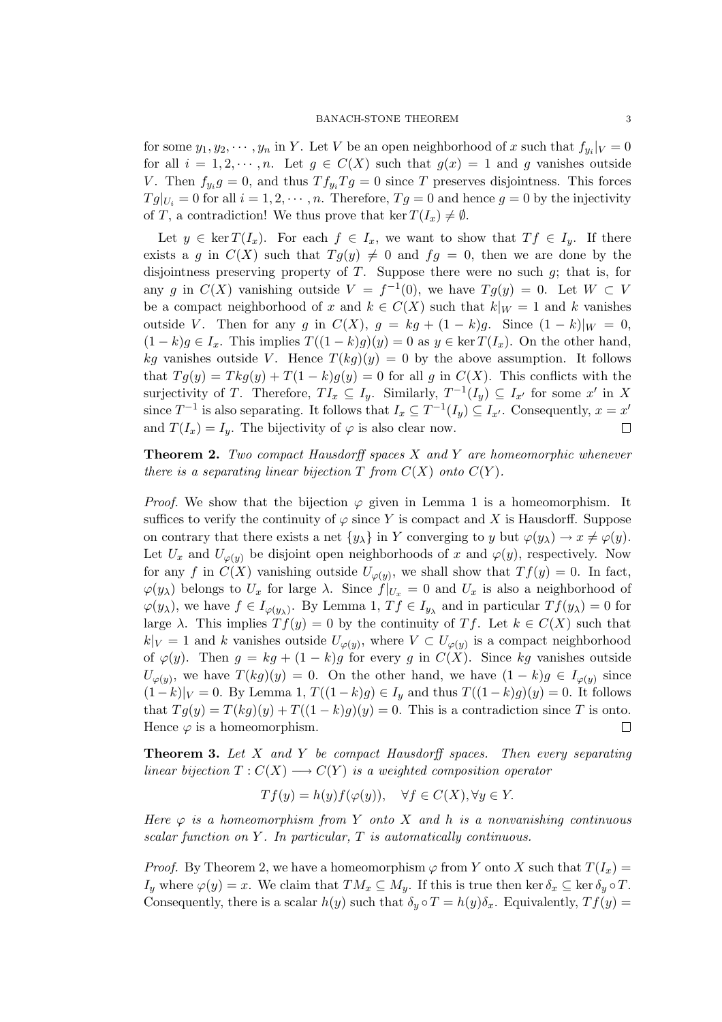for some  $y_1, y_2, \dots, y_n$  in Y. Let V be an open neighborhood of x such that  $f_{y_i}|_V = 0$ for all  $i = 1, 2, \dots, n$ . Let  $g \in C(X)$  such that  $g(x) = 1$  and g vanishes outside V. Then  $f_{y_i}g = 0$ , and thus  $Tf_{y_i}Tg = 0$  since T preserves disjointness. This forces  $Tg|_{U_i} = 0$  for all  $i = 1, 2, \dots, n$ . Therefore,  $Tg = 0$  and hence  $g = 0$  by the injectivity of T, a contradiction! We thus prove that ker  $T(I_x) \neq \emptyset$ .

Let  $y \in \ker T(I_x)$ . For each  $f \in I_x$ , we want to show that  $Tf \in I_y$ . If there exists a g in  $C(X)$  such that  $Tg(y) \neq 0$  and  $fg = 0$ , then we are done by the disjointness preserving property of  $T$ . Suppose there were no such  $g$ ; that is, for any g in  $C(X)$  vanishing outside  $V = f^{-1}(0)$ , we have  $Tg(y) = 0$ . Let  $W \subset V$ be a compact neighborhood of x and  $k \in C(X)$  such that  $k|_{W} = 1$  and k vanishes outside V. Then for any g in  $C(X)$ ,  $g = kg + (1 - k)g$ . Since  $(1 - k)|_W = 0$ ,  $(1-k)g \in I_x$ . This implies  $T((1-k)g)(y) = 0$  as  $y \in \text{ker } T(I_x)$ . On the other hand, kg vanishes outside V. Hence  $T(kg)(y) = 0$  by the above assumption. It follows that  $Tg(y) = Tkg(y) + T(1 - k)g(y) = 0$  for all g in  $C(X)$ . This conflicts with the surjectivity of T. Therefore,  $TI_x \subseteq I_y$ . Similarly,  $T^{-1}(I_y) \subseteq I_{x'}$  for some  $x'$  in X since  $T^{-1}$  is also separating. It follows that  $I_x \subseteq T^{-1}(I_y) \subseteq I_{x'}$ . Consequently,  $x = x'$ and  $T(I_x) = I_y$ . The bijectivity of  $\varphi$  is also clear now. П

**Theorem 2.** Two compact Hausdorff spaces  $X$  and  $Y$  are homeomorphic whenever there is a separating linear bijection  $T$  from  $C(X)$  onto  $C(Y)$ .

*Proof.* We show that the bijection  $\varphi$  given in Lemma 1 is a homeomorphism. It suffices to verify the continuity of  $\varphi$  since Y is compact and X is Hausdorff. Suppose on contrary that there exists a net  $\{y_\lambda\}$  in Y converging to y but  $\varphi(y_\lambda) \to x \neq \varphi(y)$ . Let  $U_x$  and  $U_{\varphi(y)}$  be disjoint open neighborhoods of x and  $\varphi(y)$ , respectively. Now for any f in  $C(X)$  vanishing outside  $U_{\varphi(y)}$ , we shall show that  $Tf(y) = 0$ . In fact,  $\varphi(y_\lambda)$  belongs to  $U_x$  for large  $\lambda$ . Since  $f|_{U_x} = 0$  and  $U_x$  is also a neighborhood of  $\varphi(y_\lambda)$ , we have  $f \in I_{\varphi(y_\lambda)}$ . By Lemma 1,  $Tf \in I_{y_\lambda}$  and in particular  $Tf(y_\lambda) = 0$  for large  $\lambda$ . This implies  $Tf(y) = 0$  by the continuity of Tf. Let  $k \in C(X)$  such that  $k|_V = 1$  and k vanishes outside  $U_{\varphi(y)}$ , where  $V \subset U_{\varphi(y)}$  is a compact neighborhood of  $\varphi(y)$ . Then  $g = kg + (1 - k)g$  for every g in  $C(X)$ . Since kg vanishes outside  $U_{\varphi(y)}$ , we have  $T(kg)(y) = 0$ . On the other hand, we have  $(1 - k)g \in I_{\varphi(y)}$  since  $(1-k)|_V = 0$ . By Lemma 1,  $T((1-k)g) \in I_y$  and thus  $T((1-k)g)(y) = 0$ . It follows that  $Tg(y) = T(kg)(y) + T((1 - k)g)(y) = 0$ . This is a contradiction since T is onto. Hence  $\varphi$  is a homeomorphism. П

**Theorem 3.** Let  $X$  and  $Y$  be compact Hausdorff spaces. Then every separating linear bijection  $T: C(X) \longrightarrow C(Y)$  is a weighted composition operator

$$
Tf(y) = h(y)f(\varphi(y)), \quad \forall f \in C(X), \forall y \in Y.
$$

Here  $\varphi$  is a homeomorphism from Y onto X and h is a nonvanishing continuous scalar function on Y. In particular, T is automatically continuous.

*Proof.* By Theorem 2, we have a homeomorphism  $\varphi$  from Y onto X such that  $T(I_x) =$  $I_y$  where  $\varphi(y) = x$ . We claim that  $TM_x \subseteq M_y$ . If this is true then ker  $\delta_x \subseteq \ker \delta_y \circ T$ . Consequently, there is a scalar  $h(y)$  such that  $\delta_y \circ T = h(y)\delta_x$ . Equivalently,  $Tf(y) =$